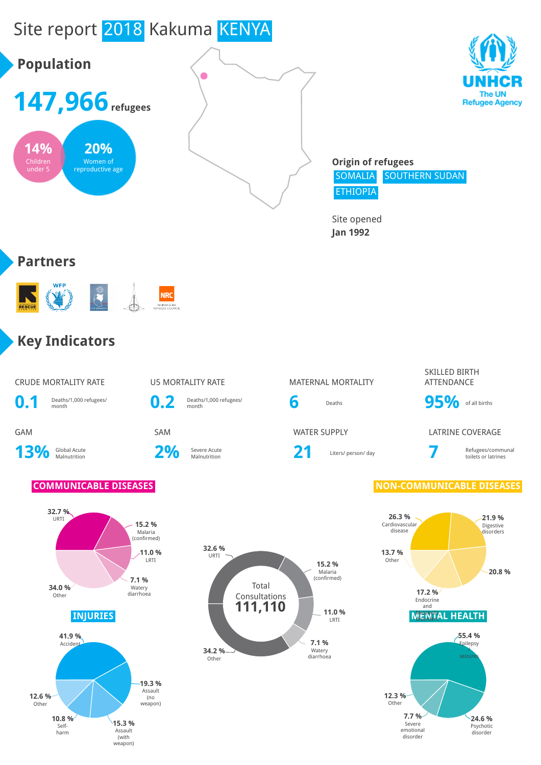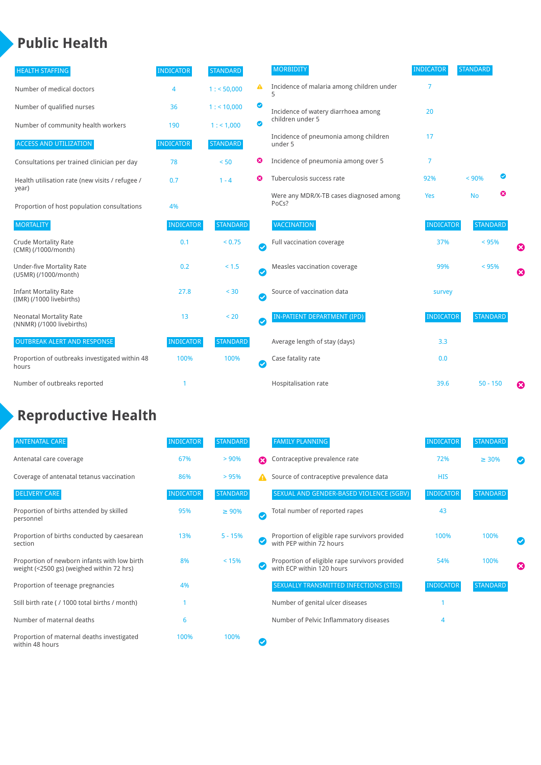# **Public Health**

| <b>INDICATOR</b> | <b>STANDARD</b> |                       | <b>MORBIDITY</b>                                 | <b>INDICATOR</b> |           |                 |                                                                    |
|------------------|-----------------|-----------------------|--------------------------------------------------|------------------|-----------|-----------------|--------------------------------------------------------------------|
| 4                | 1: 50,000       | ▲                     | Incidence of malaria among children under<br>5   | 7                |           |                 |                                                                    |
| 36               | 1:110,000       | ◙                     | Incidence of watery diarrhoea among              | 20               |           |                 |                                                                    |
| 190              | 1: 1,000        | ◙                     |                                                  |                  |           |                 |                                                                    |
| <b>INDICATOR</b> | <b>STANDARD</b> |                       | Incidence of pneumonia among children<br>under 5 | 17               |           |                 |                                                                    |
| 78               | < 50            | ☺                     | Incidence of pneumonia among over 5              | 7                |           |                 |                                                                    |
| 0.7              | $1 - 4$         | ణ                     | Tuberculosis success rate                        | 92%              | < 90%     | ◙               |                                                                    |
| 4%               |                 |                       | Were any MDR/X-TB cases diagnosed among<br>PoCs? | Yes              | <b>No</b> | ☺               |                                                                    |
| <b>INDICATOR</b> | <b>STANDARD</b> |                       | <b>VACCINATION</b>                               | <b>INDICATOR</b> |           |                 |                                                                    |
| 0.1              | < 0.75          | $\bullet$             | Full vaccination coverage                        | 37%              |           |                 | Ø                                                                  |
| 0.2              | < 1.5           | Ø                     | Measles vaccination coverage                     | 99%              |           |                 | 0                                                                  |
| 27.8             | < 30            | $\boldsymbol{\omega}$ | Source of vaccination data                       | survey           |           |                 |                                                                    |
| 13               | < 20            | $\bullet$             | <b>IN-PATIENT DEPARTMENT (IPD)</b>               | <b>INDICATOR</b> |           |                 |                                                                    |
| <b>INDICATOR</b> | <b>STANDARD</b> |                       | Average length of stay (days)                    | 3.3              |           |                 |                                                                    |
| 100%             | 100%            | Ø                     | Case fatality rate                               | 0.0              |           |                 |                                                                    |
|                  |                 |                       | Hospitalisation rate                             | 39.6             |           |                 | ☺                                                                  |
|                  |                 |                       |                                                  | children under 5 |           | <b>STANDARD</b> | <b>STANDARD</b><br>< 95%<br>< 95%<br><b>STANDARD</b><br>$50 - 150$ |

## **Reproductive Health**

| <b>ANTENATAL CARE</b>                                                                     | <b>INDICATOR</b> | <b>STANDARD</b> |              | <b>FAMILY PLANNING</b>                                                      | <b>INDICATOR</b> | <b>STANDARD</b> |   |
|-------------------------------------------------------------------------------------------|------------------|-----------------|--------------|-----------------------------------------------------------------------------|------------------|-----------------|---|
| Antenatal care coverage                                                                   | 67%              | $> 90\%$        | Ω            | Contraceptive prevalence rate                                               | 72%              | $\geq 30\%$     |   |
| Coverage of antenatal tetanus vaccination                                                 | 86%              | >95%            | А            | Source of contraceptive prevalence data                                     | <b>HIS</b>       |                 |   |
| <b>DELIVERY CARE</b>                                                                      | <b>INDICATOR</b> | <b>STANDARD</b> |              | SEXUAL AND GENDER-BASED VIOLENCE (SGBV)                                     | <b>INDICATOR</b> | <b>STANDARD</b> |   |
| Proportion of births attended by skilled<br>personnel                                     | 95%              | $\geq 90\%$     | $\checkmark$ | Total number of reported rapes                                              | 43               |                 |   |
| Proportion of births conducted by caesarean<br>section                                    | 13%              | $5 - 15%$       |              | Proportion of eligible rape survivors provided<br>with PEP within 72 hours  | 100%             | 100%            |   |
| Proportion of newborn infants with low birth<br>weight (<2500 gs) (weighed within 72 hrs) | 8%               | < 15%           |              | Proportion of eligible rape survivors provided<br>with ECP within 120 hours | 54%              | 100%            | ☎ |
| Proportion of teenage pregnancies                                                         | 4%               |                 |              | SEXUALLY TRANSMITTED INFECTIONS (STIS)                                      | <b>INDICATOR</b> | <b>STANDARD</b> |   |
| Still birth rate (/ 1000 total births / month)                                            |                  |                 |              | Number of genital ulcer diseases                                            |                  |                 |   |
| Number of maternal deaths                                                                 | 6                |                 |              | Number of Pelvic Inflammatory diseases                                      | 4                |                 |   |
| Proportion of maternal deaths investigated<br>within 48 hours                             | 100%             | 100%            |              |                                                                             |                  |                 |   |